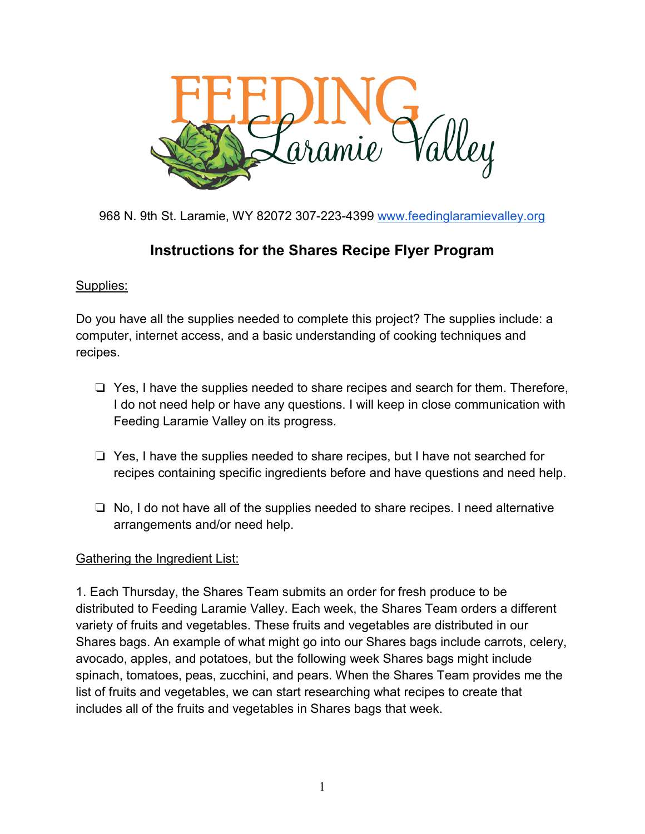

968 N. 9th St. Laramie, WY 82072 307-223-4399 [www.feedinglaramievalley.org](http://www.feedinglaramievalley.org/)

# **Instructions for the Shares Recipe Flyer Program**

## Supplies:

Do you have all the supplies needed to complete this project? The supplies include: a computer, internet access, and a basic understanding of cooking techniques and recipes.

- ❏ Yes, I have the supplies needed to share recipes and search for them. Therefore, I do not need help or have any questions. I will keep in close communication with Feeding Laramie Valley on its progress.
- ❏ Yes, I have the supplies needed to share recipes, but I have not searched for recipes containing specific ingredients before and have questions and need help.
- ❏ No, I do not have all of the supplies needed to share recipes. I need alternative arrangements and/or need help.

### Gathering the Ingredient List:

1. Each Thursday, the Shares Team submits an order for fresh produce to be distributed to Feeding Laramie Valley. Each week, the Shares Team orders a different variety of fruits and vegetables. These fruits and vegetables are distributed in our Shares bags. An example of what might go into our Shares bags include carrots, celery, avocado, apples, and potatoes, but the following week Shares bags might include spinach, tomatoes, peas, zucchini, and pears. When the Shares Team provides me the list of fruits and vegetables, we can start researching what recipes to create that includes all of the fruits and vegetables in Shares bags that week.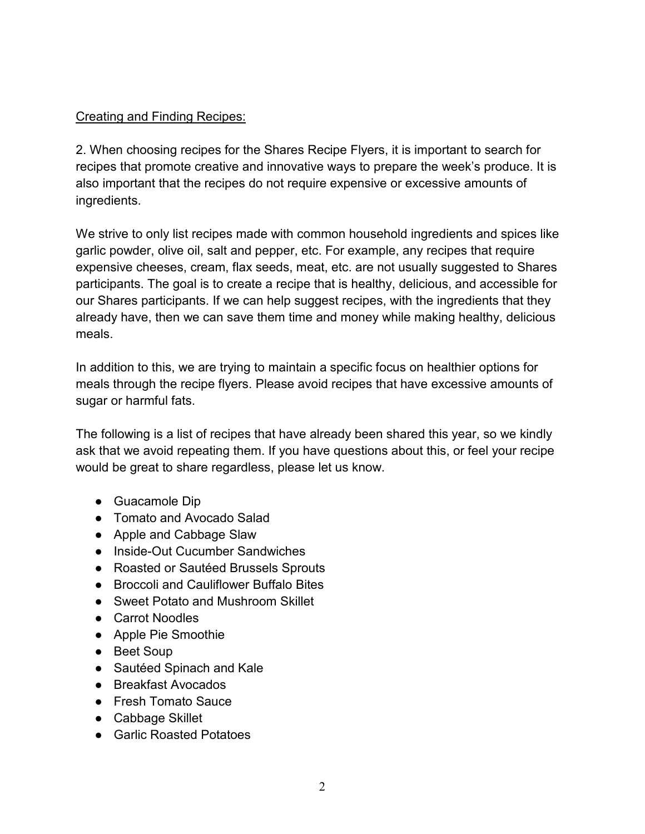## Creating and Finding Recipes:

2. When choosing recipes for the Shares Recipe Flyers, it is important to search for recipes that promote creative and innovative ways to prepare the week's produce. It is also important that the recipes do not require expensive or excessive amounts of ingredients.

We strive to only list recipes made with common household ingredients and spices like garlic powder, olive oil, salt and pepper, etc. For example, any recipes that require expensive cheeses, cream, flax seeds, meat, etc. are not usually suggested to Shares participants. The goal is to create a recipe that is healthy, delicious, and accessible for our Shares participants. If we can help suggest recipes, with the ingredients that they already have, then we can save them time and money while making healthy, delicious meals.

In addition to this, we are trying to maintain a specific focus on healthier options for meals through the recipe flyers. Please avoid recipes that have excessive amounts of sugar or harmful fats.

The following is a list of recipes that have already been shared this year, so we kindly ask that we avoid repeating them. If you have questions about this, or feel your recipe would be great to share regardless, please let us know.

- Guacamole Dip
- Tomato and Avocado Salad
- Apple and Cabbage Slaw
- Inside-Out Cucumber Sandwiches
- Roasted or Sautéed Brussels Sprouts
- Broccoli and Cauliflower Buffalo Bites
- Sweet Potato and Mushroom Skillet
- Carrot Noodles
- Apple Pie Smoothie
- Beet Soup
- Sautéed Spinach and Kale
- Breakfast Avocados
- Fresh Tomato Sauce
- Cabbage Skillet
- Garlic Roasted Potatoes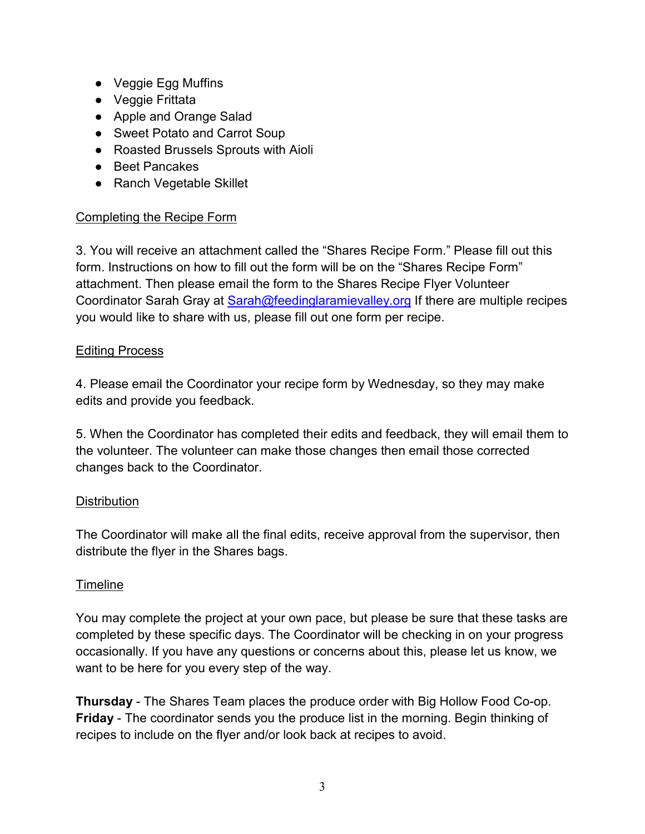- Veggie Egg Muffins
- Veggie Frittata
- Apple and Orange Salad
- Sweet Potato and Carrot Soup
- Roasted Brussels Sprouts with Aioli
- Beet Pancakes
- Ranch Vegetable Skillet

### Completing the Recipe Form

3. You will receive an attachment called the "Shares Recipe Form." Please fill out this form. Instructions on how to fill out the form will be on the "Shares Recipe Form" attachment. Then please email the form to the Shares Recipe Flyer Volunteer Coordinator Sarah Gray at **Sarah@feedinglaramievalley.org** If there are multiple recipes you would like to share with us, please fill out one form per recipe.

#### **Editing Process**

4. Please email the Coordinator your recipe form by Wednesday, so they may make edits and provide you feedback.

5. When the Coordinator has completed their edits and feedback, they will email them to the volunteer. The volunteer can make those changes then email those corrected changes back to the Coordinator.

### **Distribution**

The Coordinator will make all the final edits, receive approval from the supervisor, then distribute the flyer in the Shares bags.

### **Timeline**

You may complete the project at your own pace, but please be sure that these tasks are completed by these specific days. The Coordinator will be checking in on your progress occasionally. If you have any questions or concerns about this, please let us know, we want to be here for you every step of the way.

**Thursday** - The Shares Team places the produce order with Big Hollow Food Co-op. **Friday** - The coordinator sends you the produce list in the morning. Begin thinking of recipes to include on the flyer and/or look back at recipes to avoid.